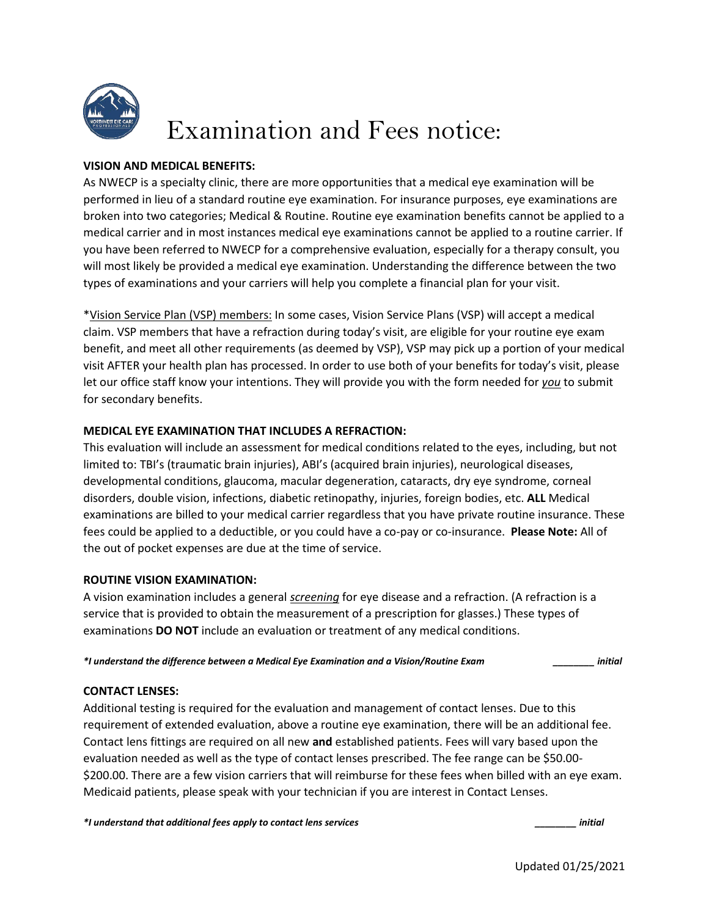

# Examination and Fees notice:

# **VISION AND MEDICAL BENEFITS:**

As NWECP is a specialty clinic, there are more opportunities that a medical eye examination will be performed in lieu of a standard routine eye examination. For insurance purposes, eye examinations are broken into two categories; Medical & Routine. Routine eye examination benefits cannot be applied to a medical carrier and in most instances medical eye examinations cannot be applied to a routine carrier. If you have been referred to NWECP for a comprehensive evaluation, especially for a therapy consult, you will most likely be provided a medical eye examination. Understanding the difference between the two types of examinations and your carriers will help you complete a financial plan for your visit.

\*Vision Service Plan (VSP) members: In some cases, Vision Service Plans (VSP) will accept a medical claim. VSP members that have a refraction during today's visit, are eligible for your routine eye exam benefit, and meet all other requirements (as deemed by VSP), VSP may pick up a portion of your medical visit AFTER your health plan has processed. In order to use both of your benefits for today's visit, please let our office staff know your intentions. They will provide you with the form needed for *you* to submit for secondary benefits.

## **MEDICAL EYE EXAMINATION THAT INCLUDES A REFRACTION:**

This evaluation will include an assessment for medical conditions related to the eyes, including, but not limited to: TBI's (traumatic brain injuries), ABI's (acquired brain injuries), neurological diseases, developmental conditions, glaucoma, macular degeneration, cataracts, dry eye syndrome, corneal disorders, double vision, infections, diabetic retinopathy, injuries, foreign bodies, etc. **ALL** Medical examinations are billed to your medical carrier regardless that you have private routine insurance. These fees could be applied to a deductible, or you could have a co-pay or co-insurance. **Please Note:** All of the out of pocket expenses are due at the time of service.

## **ROUTINE VISION EXAMINATION:**

A vision examination includes a general *screening* for eye disease and a refraction. (A refraction is a service that is provided to obtain the measurement of a prescription for glasses.) These types of examinations **DO NOT** include an evaluation or treatment of any medical conditions.

*\*I understand the difference between a Medical Eye Examination and a Vision/Routine Exam \_\_\_\_\_\_\_\_ initial*

## **CONTACT LENSES:**

Additional testing is required for the evaluation and management of contact lenses. Due to this requirement of extended evaluation, above a routine eye examination, there will be an additional fee. Contact lens fittings are required on all new **and** established patients. Fees will vary based upon the evaluation needed as well as the type of contact lenses prescribed. The fee range can be \$50.00- \$200.00. There are a few vision carriers that will reimburse for these fees when billed with an eye exam. Medicaid patients, please speak with your technician if you are interest in Contact Lenses.

*\*I understand that additional fees apply to contact lens services \_\_\_\_\_\_\_\_ initial*